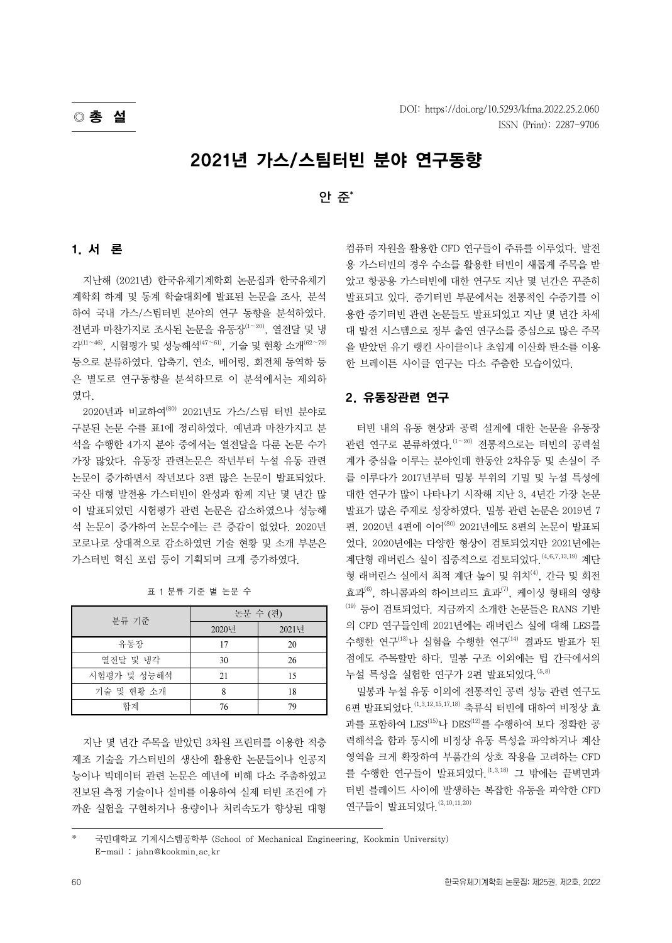# 2021년 가스/스팀터빈 분야 연구동향

## 안 준\*

#### 1. 서 론

지난해 (2021년) 한국유체기계학회 논문집과 한국유체기 계학회 하계 및 동계 학술대회에 발표된 논문을 조사, 분석 하여 국내 가스/스팀터빈 분야의 연구 동향을 분석하였다. 전년과 마찬가지로 조사된 논문을 유동장(1∼20), 열전달 및 냉 <sup>각</sup>(11∼46), 시험평가 및 성능해석(47∼61), 기술 및 현황 소개(62∼79) 등으로 분류하였다. 압축기, 연소, 베어링, 회전체 동역학 등 은 별도로 연구동향을 분석하므로 이 분석에서는 제외하 였다.

2020년과 비교하여(80) 2021년도 가스/스팀 터빈 분야로 구분된 논문 수를 표1에 정리하였다. 예년과 마찬가지고 분 석을 수행한 4가지 분야 중에서는 열전달을 다룬 논문 수가 가장 많았다. 유동장 관련논문은 작년부터 누설 유동 관련 논문이 증가하면서 작년보다 3편 많은 논문이 발표되었다. 국산 대형 발전용 가스터빈이 완성과 함께 지난 몇 년간 많 이 발표되었던 시험평가 관련 논문은 감소하였으나 성능해 석 논문이 증가하여 논문수에는 큰 증감이 없었다. 2020년 코로나로 상대적으로 감소하였던 기술 현황 및 소개 부분은 가스터빈 혁신 포럼 등이 기획되며 크게 증가하였다.

| 분류 기준       | 논문 수 (편) |       |
|-------------|----------|-------|
|             | 2020년    | 2021년 |
| 유동장         | 17       | 20    |
| 열전달 및 냉각    | 30       | 26    |
| 시험평가 및 성능해석 | 21       | 15    |
| 기술 및 현황 소개  | 8        | 18    |
| 합계          | 76       | 79    |

표 1 분류 기준 별 논문 수

지난 몇 년간 주목을 받았던 3차원 프린터를 이용한 적층 제조 기술을 가스터빈의 생산에 활용한 논문들이나 인공지 능이나 빅데이터 관련 논문은 예년에 비해 다소 주춤하였고 진보된 측정 기술이나 설비를 이용하여 실제 터빈 조건에 가 까운 실험을 구현하거나 용량이나 처리속도가 향상된 대형 컴퓨터 자원을 활용한 CFD 연구들이 주류를 이루었다. 발전 용 가스터빈의 경우 수소를 활용한 터빈이 새롭게 주목을 받 았고 항공용 가스터빈에 대한 연구도 지난 몇 년간은 꾸준히 발표되고 있다. 증기터빈 부문에서는 전통적인 수증기를 이 용한 증기터빈 관련 논문들도 발표되었고 지난 몇 년간 차세 대 발전 시스템으로 정부 출연 연구소를 중심으로 많은 주목 을 받았던 유기 랭킨 사이클이나 초임계 이산화 탄소를 이용 한 브레이튼 사이클 연구는 다소 주춤한 모습이었다.

### 2. 유동장관련 연구

터빈 내의 유동 현상과 공력 설계에 대한 논문을 유동장 관련 연구로 분류하였다.<sup>(1∼20)</sup> 전통적으로는 터빈의 공력설 계가 중심을 이루는 분야인데 한동안 2차유동 및 손실이 주 를 이루다가 2017년부터 밀봉 부위의 기밀 및 누설 특성에 대한 연구가 많이 나타나기 시작해 지난 3, 4년간 가장 논문 발표가 많은 주제로 성장하였다. 밀봉 관련 논문은 2019년 7 편, 2020년 4편에 이어(80) 2021년에도 8편의 논문이 발표되 었다. 2020년에는 다양한 형상이 검토되었지만 2021년에는 계단형 래버린스 실이 집중적으로 검토되었다.  $(4, 6, 7, 13, 19)$  계단 형 래버린스 실에서 최적 계단 높이 및 위치<sup>(4)</sup>, 간극 및 회전 효과(6), 하니콤과의 하이브리드 효과(7), 케이싱 형태의 영향  $(19)$  등이 검토되었다. 지금까지 소개한 논문들은 RANS 기반 의 CFD 연구들인데 2021년에는 래버린스 실에 대해 LES를 수행한 연구(13)나 실험을 수행한 연구(14) 결과도 발표가 된 점에도 주목할만 하다. 밀봉 구조 이외에는 팁 간극에서의 누설 특성을 실험한 연구가 2편 발표되었다.  $^{(5,8)}$ 

밀봉과 누설 유동 이외에 전통적인 공력 성능 관련 연구도 6편 발표되었다.(1,3,12,15,17,18) 축류식 터빈에 대하여 비정상 효 과를 포함하여 LES<sup>(15)</sup>나 DES<sup>(12)</sup>를 수행하여 보다 정확한 공 력해석을 함과 동시에 비정상 유동 특성을 파악하거나 계산 영역을 크게 확장하여 부품간의 상호 작용을 고려하는 CFD 를 수행한 연구들이 발표되었다.  $^{(1,3,18)}$  그 밖에는 끝벽면과 터빈 블레이드 사이에 발생하는 복잡한 유동을 파악한 CFD 연구들이 발표되었다.  $(2,10,11,20)$ 

<sup>\*</sup> 국민대학교 기계시스템공학부 (School of Mechanical Engineering, Kookmin University) E-mail : jahn@kookmin.ac.kr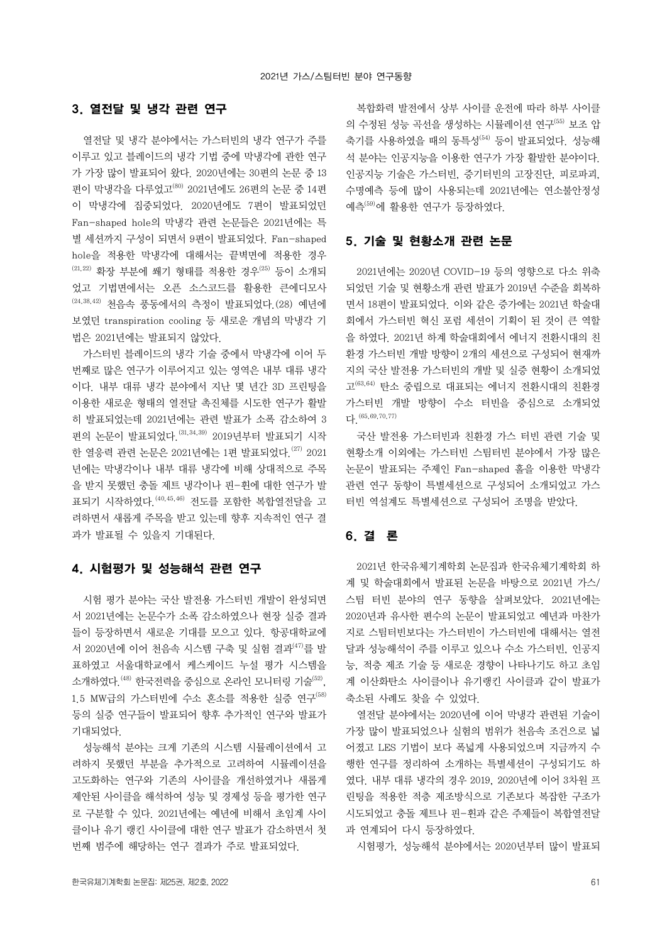#### 3. 열전달 및 냉각 관련 연구

열전달 및 냉각 분야에서는 가스터빈의 냉각 연구가 주를 이루고 있고 블레이드의 냉각 기법 중에 막냉각에 관한 연구 가 가장 많이 발표되어 왔다. 2020년에는 30편의 논문 중 13 편이 막냉각을 다루었고(80) 2021년에도 26편의 논문 중 14편 이 막냉각에 집중되었다. 2020년에도 7편이 발표되었던 Fan-shaped hole의 막냉각 관련 논문들은 2021년에는 특 별 세션까지 구성이 되면서 9편이 발표되었다. Fan-shaped hole을 적용한 막냉각에 대해서는 끝벽면에 적용한 경우  $(21,22)$  확장 부분에 쐐기 형태를 적용한 경우<sup>(25)</sup> 등이 소개되 었고 기법면에서는 오픈 소스코드를 활용한 큰에디모사 (24,38,42) 천음속 풍동에서의 측정이 발표되었다.(28) 예년에 보였던 transpiration cooling 등 새로운 개념의 막냉각 기 법은 2021년에는 발표되지 않았다.

가스터빈 블레이드의 냉각 기술 중에서 막냉각에 이어 두 번째로 많은 연구가 이루어지고 있는 영역은 내부 대류 냉각 이다. 내부 대류 냉각 분야에서 지난 몇 년간 3D 프린팅을 이용한 새로운 형태의 열전달 촉진체를 시도한 연구가 활발 히 발표되었는데 2021년에는 관련 발표가 소폭 감소하여 3 편의 논문이 발표되었다.(31,34,39) 2019년부터 발표되기 시작 한 열응력 관련 논문은 2021년에는 1편 발표되었다.<sup>(27)</sup> 2021 년에는 막냉각이나 내부 대류 냉각에 비해 상대적으로 주목 을 받지 못했던 충돌 제트 냉각이나 핀-휜에 대한 연구가 발 표되기 시작하였다.(40,45,46) 전도를 포함한 복합열전달을 고 려하면서 새롭게 주목을 받고 있는데 향후 지속적인 연구 결 과가 발표될 수 있을지 기대된다.

## 4. 시험평가 및 성능해석 관련 연구

시험 평가 분야는 국산 발전용 가스터빈 개발이 완성되면 서 2021년에는 논문수가 소폭 감소하였으나 현장 실증 결과 들이 등장하면서 새로운 기대를 모으고 있다. 항공대학교에 서 2020년에 이어 천음속 시스템 구축 및 실험 결과(47)를 발 표하였고 서울대학교에서 케스케이드 누설 평가 시스템을 소개하였다. <sup>(48)</sup> 한국전력을 중심으로 온라인 모니터링 기술<sup>(52)</sup>,  $1.5$  MW급의 가스터빈에 수소 혼소를 적용한 실증 연구<sup>(58)</sup> 등의 실증 연구들이 발표되어 향후 추가적인 연구와 발표가 기대되었다.

성능해석 분야는 크게 기존의 시스템 시뮬레이션에서 고 려하지 못했던 부분을 추가적으로 고려하여 시뮬레이션을 고도화하는 연구와 기존의 사이클을 개선하였거나 새롭게 제안된 사이클을 해석하여 성능 및 경제성 등을 평가한 연구 로 구분할 수 있다. 2021년에는 예년에 비해서 초임계 사이 클이나 유기 랭킨 사이클에 대한 연구 발표가 감소하면서 첫 번째 범주에 해당하는 연구 결과가 주로 발표되었다.

복합화력 발전에서 상부 사이클 운전에 따라 하부 사이클 의 수정된 성능 곡선을 생성하는 시뮬레이션 연구(55) 보조 압 축기를 사용하였을 때의 동특성(54) 등이 발표되었다. 성능해 석 분야는 인공지능을 이용한 연구가 가장 활발한 분야이다. 인공지능 기술은 가스터빈, 증기터빈의 고장진단, 피로파괴, 수명예측 등에 많이 사용되는데 2021년에는 연소불안정성 예측(59)에 활용한 연구가 등장하였다.

#### 5. 기술 및 현황소개 관련 논문

2021년에는 2020년 COVID-19 등의 영향으로 다소 위축 되었던 기술 및 현황소개 관련 발표가 2019년 수준을 회복하 면서 18편이 발표되었다. 이와 같은 증가에는 2021년 학술대 회에서 가스터빈 혁신 포럼 세션이 기획이 된 것이 큰 역할 을 하였다. 2021년 하계 학술대회에서 에너지 전환시대의 친 환경 가스터빈 개발 방향이 2개의 세션으로 구성되어 현재까 지의 국산 발전용 가스터빈의 개발 및 실증 현황이 소개되었 고(63,64) 탄소 중립으로 대표되는 에너지 전환시대의 친환경 가스터빈 개발 방향이 수소 터빈을 중심으로 소개되었 다.(65,69,70,77)

국산 발전용 가스터빈과 친환경 가스 터빈 관련 기술 및 현황소개 이외에는 가스터빈 스팀터빈 분야에서 가장 많은 논문이 발표되는 주제인 Fan-shaped 홀을 이용한 막냉각 관련 연구 동향이 특별세션으로 구성되어 소개되었고 가스 터빈 역설계도 특별세션으로 구성되어 조명을 받았다.

## 6. 결 론

2021년 한국유체기계학회 논문집과 한국유체기계학회 하 계 및 학술대회에서 발표된 논문을 바탕으로 2021년 가스/ 스팀 터빈 분야의 연구 동향을 살펴보았다. 2021년에는 2020년과 유사한 편수의 논문이 발표되었고 예년과 마찬가 지로 스팀터빈보다는 가스터빈이 가스터빈에 대해서는 열전 달과 성능해석이 주를 이루고 있으나 수소 가스터빈, 인공지 능, 적층 제조 기술 등 새로운 경향이 나타나기도 하고 초임 계 이산화탄소 사이클이나 유기랭킨 사이클과 같이 발표가 축소된 사례도 찾을 수 있었다.

열전달 분야에서는 2020년에 이어 막냉각 관련된 기술이 가장 많이 발표되었으나 실험의 범위가 천음속 조건으로 넓 어졌고 LES 기법이 보다 폭넓게 사용되었으며 지금까지 수 행한 연구를 정리하여 소개하는 특별세션이 구성되기도 하 였다. 내부 대류 냉각의 경우 2019, 2020년에 이어 3차원 프 린팅을 적용한 적층 제조방식으로 기존보다 복잡한 구조가 시도되었고 충돌 제트나 핀-휜과 같은 주제들이 복합열전달 과 연계되어 다시 등장하였다.

시험평가, 성능해석 분야에서는 2020년부터 많이 발표되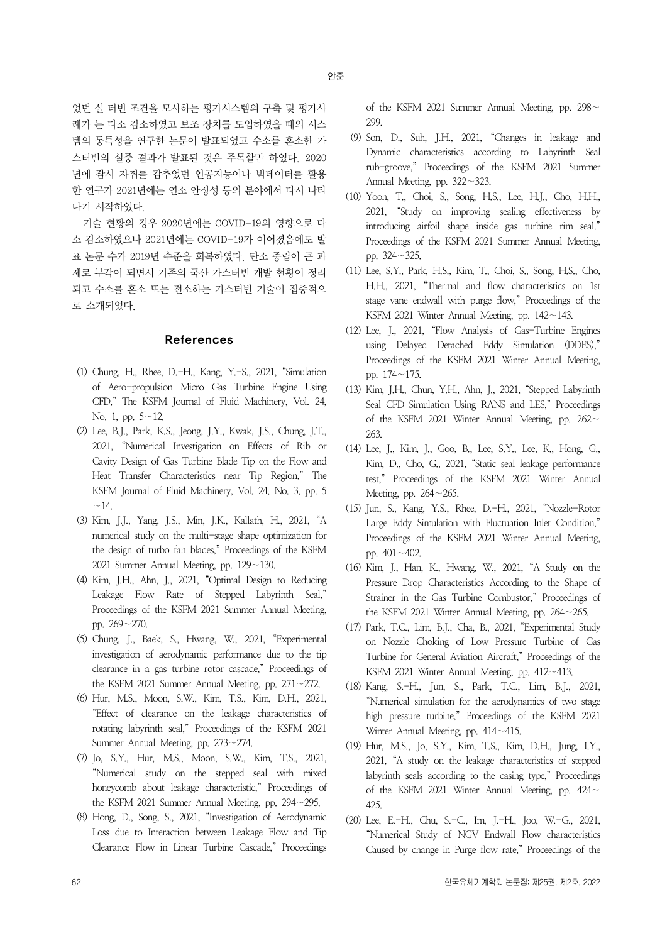었던 실 터빈 조건을 모사하는 평가시스템의 구축 및 평가사 례가 는 다소 감소하였고 보조 장치를 도입하였을 때의 시스 템의 동특성을 연구한 논문이 발표되었고 수소를 혼소한 가 스터빈의 실증 결과가 발표된 것은 주목할만 하였다. 2020 년에 잠시 자취를 감추었던 인공지능이나 빅데이터를 활용 한 연구가 2021년에는 연소 안정성 등의 분야에서 다시 나타 나기 시작하였다.

기술 현황의 경우 2020년에는 COVID-19의 영향으로 다 소 감소하였으나 2021년에는 COVID-19가 이어졌음에도 발 표 논문 수가 2019년 수준을 회복하였다. 탄소 중립이 큰 과 제로 부각이 되면서 기존의 국산 가스터빈 개발 현황이 정리 되고 수소를 혼소 또는 전소하는 가스터빈 기술이 집중적으 로 소개되었다.

#### References

- (1) Chung, H., Rhee, D.-H., Kang, Y.-S., 2021, "Simulation of Aero-propulsion Micro Gas Turbine Engine Using CFD," The KSFM Journal of Fluid Machinery, Vol. 24, No. 1, pp. 5∼12.
- (2) Lee, B.J., Park, K.S., Jeong, J.Y., Kwak, J.S., Chung, J.T., 2021, "Numerical Investigation on Effects of Rib or Cavity Design of Gas Turbine Blade Tip on the Flow and Heat Transfer Characteristics near Tip Region." The ∼KSFM Journal of Fluid Machinery, Vol. 24, No. 3, pp. 5  $~14.$
- (3) Kim, J.J., Yang, J.S., Min, J.K., Kallath, H., 2021, "A numerical study on the multi-stage shape optimization for the design of turbo fan blades," Proceedings of the KSFM 2021 Summer Annual Meeting, pp. 129∼130.
- (4) Kim, J.H., Ahn, J., 2021, "Optimal Design to Reducing Leakage Flow Rate of Stepped Labyrinth Seal," Proceedings of the KSFM 2021 Summer Annual Meeting, pp. 269∼270.
- (5) Chung, J., Baek, S., Hwang, W., 2021, "Experimental investigation of aerodynamic performance due to the tip clearance in a gas turbine rotor cascade," Proceedings of the KSFM 2021 Summer Annual Meeting, pp. 271∼272.
- (6) Hur, M.S., Moon, S.W., Kim, T.S., Kim, D.H., 2021, "Effect of clearance on the leakage characteristics of rotating labyrinth seal," Proceedings of the KSFM 2021 Summer Annual Meeting, pp. 273∼274.
- (7) Jo, S.Y., Hur, M.S., Moon, S.W., Kim, T.S., 2021, "Numerical study on the stepped seal with mixed honeycomb about leakage characteristic," Proceedings of the KSFM 2021 Summer Annual Meeting, pp. 294∼295.
- (8) Hong, D., Song, S., 2021, "Investigation of Aerodynamic Loss due to Interaction between Leakage Flow and Tip Clearance Flow in Linear Turbine Cascade," Proceedings

of the KSFM 2021 Summer Annual Meeting, pp. 298<sup>∼</sup> 299.

- (9) Son, D., Suh, J.H., 2021, "Changes in leakage and Dynamic characteristics according to Labyrinth Seal rub-groove," Proceedings of the KSFM 2021 Summer Annual Meeting, pp. 322∼323.
- (10) Yoon, T., Choi, S., Song, H.S., Lee, H.J., Cho, H.H., 2021, "Study on improving sealing effectiveness by introducing airfoil shape inside gas turbine rim seal." Proceedings of the KSFM 2021 Summer Annual Meeting, pp. 324∼325.
- (11) Lee, S.Y., Park, H.S., Kim, T., Choi, S., Song, H.S., Cho, H.H., 2021, "Thermal and flow characteristics on 1st stage vane endwall with purge flow," Proceedings of the KSFM 2021 Winter Annual Meeting, pp. 142∼143.
- (12) Lee, J., 2021, "Flow Analysis of Gas-Turbine Engines using Delayed Detached Eddy Simulation (DDES)," Proceedings of the KSFM 2021 Winter Annual Meeting, pp. 174∼175.
- (13) Kim, J.H., Chun, Y.H., Ahn, J., 2021, "Stepped Labyrinth Seal CFD Simulation Using RANS and LES," Proceedings of the KSFM 2021 Winter Annual Meeting, pp. 262<sup>∼</sup> 263.
- (14) Lee, J., Kim, J., Goo, B., Lee, S.Y., Lee, K., Hong, G., Kim, D., Cho, G., 2021, "Static seal leakage performance test," Proceedings of the KSFM 2021 Winter Annual Meeting, pp. 264∼265.
- (15) Jun, S., Kang, Y.S., Rhee, D.-H., 2021, "Nozzle-Rotor Large Eddy Simulation with Fluctuation Inlet Condition," Proceedings of the KSFM 2021 Winter Annual Meeting, pp. 401∼402.
- (16) Kim, J., Han, K., Hwang, W., 2021, "A Study on the Pressure Drop Characteristics According to the Shape of Strainer in the Gas Turbine Combustor," Proceedings of the KSFM 2021 Winter Annual Meeting, pp. 264∼265.
- (17) Park, T.C., Lim, B.J., Cha, B., 2021, "Experimental Study on Nozzle Choking of Low Pressure Turbine of Gas Turbine for General Aviation Aircraft," Proceedings of the KSFM 2021 Winter Annual Meeting, pp. 412∼413.
- (18) Kang, S.-H., Jun, S., Park, T.C., Lim, B.J., 2021, "Numerical simulation for the aerodynamics of two stage high pressure turbine," Proceedings of the KSFM 2021 Winter Annual Meeting, pp. 414∼415.
- (19) Hur, M.S., Jo, S.Y., Kim, T.S., Kim, D.H., Jung, I.Y., 2021, "A study on the leakage characteristics of stepped labyrinth seals according to the casing type," Proceedings of the KSFM 2021 Winter Annual Meeting, pp. 424<sup>∼</sup> 425.
- (20) Lee, E.-H., Chu, S.-C., Im, J.-H., Joo, W.-G., 2021, "Numerical Study of NGV Endwall Flow characteristics Caused by change in Purge flow rate," Proceedings of the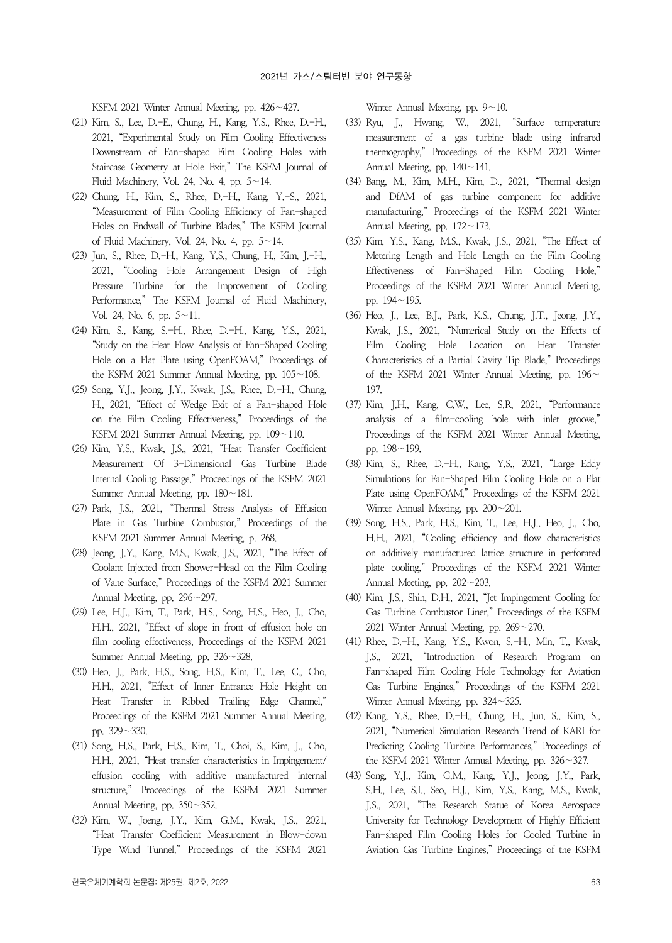KSFM 2021 Winter Annual Meeting, pp. 426∼427.

- (21) Kim, S., Lee, D.-E., Chung, H., Kang, Y.S., Rhee, D.-H., 2021, "Experimental Study on Film Cooling Effectiveness Downstream of Fan-shaped Film Cooling Holes with Staircase Geometry at Hole Exit," The KSFM Journal of Fluid Machinery, Vol. 24, No. 4, pp. 5∼14.
- (22) Chung, H., Kim, S., Rhee, D.-H., Kang, Y.-S., 2021, "Measurement of Film Cooling Efficiency of Fan-shaped Holes on Endwall of Turbine Blades," The KSFM Journal of Fluid Machinery, Vol. 24, No. 4, pp. 5∼14.
- (23) Jun, S., Rhee, D.-H., Kang, Y.S., Chung, H., Kim, J.-H., 2021, "Cooling Hole Arrangement Design of High Pressure Turbine for the Improvement of Cooling Performance," The KSFM Journal of Fluid Machinery, Vol. 24, No. 6, pp. 5∼11.
- (24) Kim, S., Kang, S.-H., Rhee, D.-H., Kang, Y.S., 2021, "Study on the Heat Flow Analysis of Fan-Shaped Cooling Hole on a Flat Plate using OpenFOAM," Proceedings of the KSFM 2021 Summer Annual Meeting, pp. 105∼108.
- (25) Song, Y.J., Jeong, J.Y., Kwak, J.S., Rhee, D.-H., Chung, H., 2021, "Effect of Wedge Exit of a Fan-shaped Hole on the Film Cooling Effectiveness," Proceedings of the KSFM 2021 Summer Annual Meeting, pp. 109∼110.
- (26) Kim, Y.S., Kwak, J.S., 2021, "Heat Transfer Coefficient Measurement Of 3-Dimensional Gas Turbine Blade Internal Cooling Passage," Proceedings of the KSFM 2021 Summer Annual Meeting, pp. 180∼181.
- (27) Park, J.S., 2021, "Thermal Stress Analysis of Effusion Plate in Gas Turbine Combustor," Proceedings of the KSFM 2021 Summer Annual Meeting, p. 268.
- (28) Jeong, J.Y., Kang, M.S., Kwak, J.S., 2021, "The Effect of Coolant Injected from Shower-Head on the Film Cooling of Vane Surface," Proceedings of the KSFM 2021 Summer Annual Meeting, pp. 296∼297.
- (29) Lee, H.J., Kim, T., Park, H.S., Song, H.S., Heo, J., Cho, H.H., 2021, "Effect of slope in front of effusion hole on film cooling effectiveness, Proceedings of the KSFM 2021 Summer Annual Meeting, pp. 326∼328.
- (30) Heo, J., Park, H.S., Song, H.S., Kim, T., Lee, C., Cho, H.H., 2021, "Effect of Inner Entrance Hole Height on Heat Transfer in Ribbed Trailing Edge Channel," Proceedings of the KSFM 2021 Summer Annual Meeting, pp. 329∼330.
- (31) Song, H.S., Park, H.S., Kim, T., Choi, S., Kim, J., Cho, H.H., 2021, "Heat transfer characteristics in Impingement/ effusion cooling with additive manufactured internal structure," Proceedings of the KSFM 2021 Summer Annual Meeting, pp. 350∼352.
- (32) Kim, W., Joeng, J.Y., Kim, G.M., Kwak, J.S., 2021, "Heat Transfer Coefficient Measurement in Blow-down Type Wind Tunnel." Proceedings of the KSFM 2021

Winter Annual Meeting, pp. 9∼10.

- (33) Ryu, J., Hwang, W., 2021, "Surface temperature measurement of a gas turbine blade using infrared thermography," Proceedings of the KSFM 2021 Winter Annual Meeting, pp. 140∼141.
- (34) Bang, M., Kim, M.H., Kim, D., 2021, "Thermal design and DfAM of gas turbine component for additive manufacturing," Proceedings of the KSFM 2021 Winter Annual Meeting, pp. 172∼173.
- (35) Kim, Y.S., Kang, M.S., Kwak, J.S., 2021, "The Effect of Metering Length and Hole Length on the Film Cooling Effectiveness of Fan-Shaped Film Cooling Hole," Proceedings of the KSFM 2021 Winter Annual Meeting, pp. 194∼195.
- (36) Heo, J., Lee, B.J., Park, K.S., Chung, J.T., Jeong, J.Y., Kwak, J.S., 2021, "Numerical Study on the Effects of Film Cooling Hole Location on Heat Transfer Characteristics of a Partial Cavity Tip Blade," Proceedings of the KSFM 2021 Winter Annual Meeting, pp. 196<sup>∼</sup> 197.
- (37) Kim, J.H., Kang, C.W., Lee, S.R, 2021, "Performance analysis of a film-cooling hole with inlet groove," Proceedings of the KSFM 2021 Winter Annual Meeting, pp. 198∼199.
- (38) Kim, S., Rhee, D.-H., Kang, Y.S., 2021, "Large Eddy Simulations for Fan-Shaped Film Cooling Hole on a Flat Plate using OpenFOAM," Proceedings of the KSFM 2021 Winter Annual Meeting, pp. 200∼201.
- (39) Song, H.S., Park, H.S., Kim, T., Lee, H.J., Heo, J., Cho, H.H., 2021, "Cooling efficiency and flow characteristics on additively manufactured lattice structure in perforated plate cooling," Proceedings of the KSFM 2021 Winter Annual Meeting, pp. 202∼203.
- (40) Kim, J.S., Shin, D.H., 2021, "Jet Impingement Cooling for Gas Turbine Combustor Liner," Proceedings of the KSFM 2021 Winter Annual Meeting, pp. 269∼270.
- (41) Rhee, D.-H., Kang, Y.S., Kwon, S.-H., Min, T., Kwak, J.S., 2021, "Introduction of Research Program on Fan-shaped Film Cooling Hole Technology for Aviation Gas Turbine Engines," Proceedings of the KSFM 2021 Winter Annual Meeting, pp. 324∼325.
- (42) Kang, Y.S., Rhee, D.-H., Chung, H., Jun, S., Kim, S., 2021, "Numerical Simulation Research Trend of KARI for Predicting Cooling Turbine Performances," Proceedings of the KSFM 2021 Winter Annual Meeting, pp. 326∼327.
- (43) Song, Y.J., Kim, G.M., Kang, Y.J., Jeong, J.Y., Park, S.H., Lee, S.I., Seo, H.J., Kim, Y.S., Kang, M.S., Kwak, J.S., 2021, "The Research Statue of Korea Aerospace University for Technology Development of Highly Efficient Fan-shaped Film Cooling Holes for Cooled Turbine in Aviation Gas Turbine Engines," Proceedings of the KSFM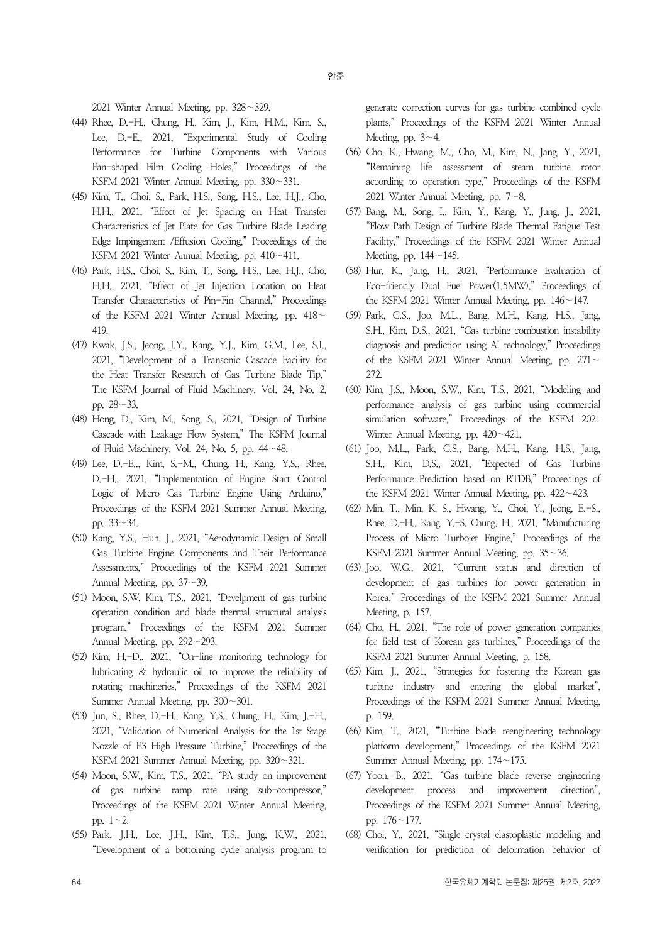2021 Winter Annual Meeting, pp. 328∼329.

- (44) Rhee, D.-H., Chung, H., Kim, J., Kim, H.M., Kim, S., Lee, D.-E., 2021, "Experimental Study of Cooling Performance for Turbine Components with Various Fan-shaped Film Cooling Holes," Proceedings of the KSFM 2021 Winter Annual Meeting, pp. 330∼331.
- (45) Kim, T., Choi, S., Park, H.S., Song, H.S., Lee, H.J., Cho, H.H., 2021, "Effect of Jet Spacing on Heat Transfer Characteristics of Jet Plate for Gas Turbine Blade Leading Edge Impingement /Effusion Cooling," Proceedings of the KSFM 2021 Winter Annual Meeting, pp. 410∼411.
- (46) Park, H.S., Choi, S., Kim, T., Song, H.S., Lee, H.J., Cho, H.H., 2021, "Effect of Jet Injection Location on Heat Transfer Characteristics of Pin-Fin Channel," Proceedings of the KSFM 2021 Winter Annual Meeting, pp. 418<sup>∼</sup> 419.
- (47) Kwak, J.S., Jeong, J.Y., Kang, Y.J., Kim, G.M., Lee, S.I., 2021, "Development of a Transonic Cascade Facility for the Heat Transfer Research of Gas Turbine Blade Tip," The KSFM Journal of Fluid Machinery, Vol. 24, No. 2, pp. 28∼33.
- (48) Hong, D., Kim, M., Song, S., 2021, "Design of Turbine Cascade with Leakage Flow System," The KSFM Journal of Fluid Machinery, Vol. 24, No. 5, pp. 44∼48.
- (49) Lee, D.-E.., Kim, S.-M., Chung, H., Kang, Y.S., Rhee, D.-H., 2021, "Implementation of Engine Start Control Logic of Micro Gas Turbine Engine Using Arduino," Proceedings of the KSFM 2021 Summer Annual Meeting, pp. 33∼34.
- (50) Kang, Y.S., Huh, J., 2021, "Aerodynamic Design of Small Gas Turbine Engine Components and Their Performance Assessments," Proceedings of the KSFM 2021 Summer Annual Meeting, pp. 37∼39.
- (51) Moon, S.W, Kim, T.S., 2021, "Develpment of gas turbine operation condition and blade thermal structural analysis program," Proceedings of the KSFM 2021 Summer Annual Meeting, pp. 292∼293.
- (52) Kim, H.-D., 2021, "On-line monitoring technology for lubricating & hydraulic oil to improve the reliability of rotating machineries," Proceedings of the KSFM 2021 Summer Annual Meeting, pp. 300∼301.
- (53) Jun, S., Rhee, D.-H., Kang, Y.S., Chung, H., Kim, J.-H., 2021, "Validation of Numerical Analysis for the 1st Stage Nozzle of E3 High Pressure Turbine," Proceedings of the KSFM 2021 Summer Annual Meeting, pp. 320∼321.
- (54) Moon, S.W., Kim, T.S., 2021, "PA study on improvement of gas turbine ramp rate using sub-compressor," Proceedings of the KSFM 2021 Winter Annual Meeting, pp. 1∼2.
- (55) Park, J.H., Lee, J.H., Kim, T.S., Jung, K.W., 2021, "Development of a bottoming cycle analysis program to

generate correction curves for gas turbine combined cycle plants," Proceedings of the KSFM 2021 Winter Annual Meeting, pp. 3∼4.

- (56) Cho, K., Hwang, M., Cho, M., Kim, N., Jang, Y., 2021, "Remaining life assessment of steam turbine rotor according to operation type," Proceedings of the KSFM 2021 Winter Annual Meeting, pp. 7∼8.
- (57) Bang, M., Song, I., Kim, Y., Kang, Y., Jung, J., 2021, "Flow Path Design of Turbine Blade Thermal Fatigue Test Facility," Proceedings of the KSFM 2021 Winter Annual Meeting, pp. 144∼145.
- (58) Hur, K., Jang, H., 2021, "Performance Evaluation of Eco-friendly Dual Fuel Power(1.5MW)," Proceedings of the KSFM 2021 Winter Annual Meeting, pp. 146∼147.
- (59) Park, G.S., Joo, M.L., Bang, M.H., Kang, H.S., Jang, S.H., Kim, D.S., 2021, "Gas turbine combustion instability diagnosis and prediction using AI technology," Proceedings of the KSFM 2021 Winter Annual Meeting, pp. 271<sup>∼</sup> 272.
- (60) Kim, J.S., Moon, S.W., Kim, T.S., 2021, "Modeling and performance analysis of gas turbine using commercial simulation software," Proceedings of the KSFM 2021 Winter Annual Meeting, pp. 420∼421.
- (61) Joo, M.L., Park, G.S., Bang, M.H., Kang, H.S., Jang, S.H., Kim, D.S., 2021, "Expected of Gas Turbine Performance Prediction based on RTDB," Proceedings of the KSFM 2021 Winter Annual Meeting, pp. 422∼423.
- (62) Min, T., Min, K. S., Hwang, Y., Choi, Y., Jeong, E.-S., Rhee, D.-H., Kang, Y.-S. Chung, H., 2021, "Manufacturing Process of Micro Turbojet Engine," Proceedings of the KSFM 2021 Summer Annual Meeting, pp. 35∼36.
- (63) Joo, W.G., 2021, "Current status and direction of development of gas turbines for power generation in Korea," Proceedings of the KSFM 2021 Summer Annual Meeting, p. 157.
- (64) Cho, H., 2021, "The role of power generation companies for field test of Korean gas turbines," Proceedings of the KSFM 2021 Summer Annual Meeting, p. 158.
- (65) Kim, J., 2021, "Strategies for fostering the Korean gas turbine industry and entering the global market", Proceedings of the KSFM 2021 Summer Annual Meeting, p. 159.
- (66) Kim, T., 2021, "Turbine blade reengineering technology platform development," Proceedings of the KSFM 2021 Summer Annual Meeting, pp. 174∼175.
- (67) Yoon, B., 2021, "Gas turbine blade reverse engineering development process and improvement direction", Proceedings of the KSFM 2021 Summer Annual Meeting, pp. 176∼177.
- (68) Choi, Y., 2021, "Single crystal elastoplastic modeling and verification for prediction of deformation behavior of